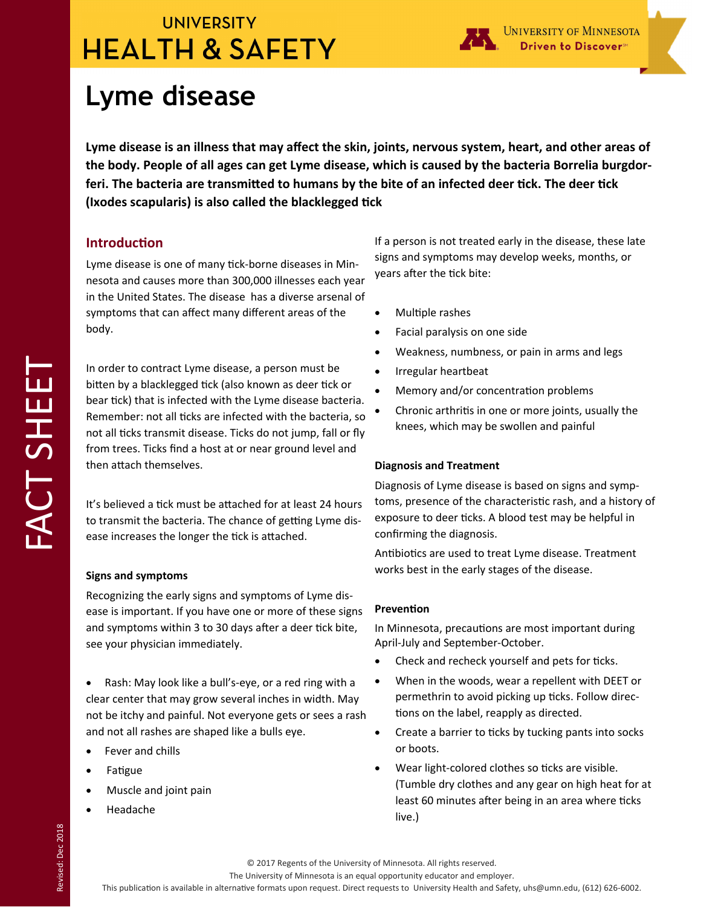## **UNIVERSITY HEALTH & SAFETY**



# **Lyme disease**

**Lyme disease is an illness that may affect the skin, joints, nervous system, heart, and other areas of the body. People of all ages can get Lyme disease, which is caused by the bacteria Borrelia burgdor**feri. The bacteria are transmitted to humans by the bite of an infected deer tick. The deer tick (Ixodes scapularis) is also called the blacklegged tick

#### **IntroducƟon**

Lyme disease is one of many tick-borne diseases in Minnesota and causes more than 300,000 illnesses each year in the United States. The disease has a diverse arsenal of symptoms that can affect many different areas of the body.

In order to contract Lyme disease, a person must be bitten by a blacklegged tick (also known as deer tick or bear tick) that is infected with the Lyme disease bacteria. Remember: not all ticks are infected with the bacteria, so not all ticks transmit disease. Ticks do not jump, fall or fly from trees. Ticks find a host at or near ground level and then attach themselves.

It's believed a tick must be attached for at least 24 hours to transmit the bacteria. The chance of getting Lyme disease increases the longer the tick is attached.

#### **Signs and symptoms**

Recognizing the early signs and symptoms of Lyme dis‐ ease is important. If you have one or more of these signs and symptoms within 3 to 30 days after a deer tick bite, see your physician immediately.

 Rash: May look like a bull's‐eye, or a red ring with a clear center that may grow several inches in width. May not be itchy and painful. Not everyone gets or sees a rash and not all rashes are shaped like a bulls eye.

- Fever and chills
- Fatigue
- Muscle and joint pain
- Headache

If a person is not treated early in the disease, these late signs and symptoms may develop weeks, months, or years after the tick bite:

- Multiple rashes
- Facial paralysis on one side
- Weakness, numbness, or pain in arms and legs
- Irregular heartbeat
- Memory and/or concentration problems
- Chronic arthritis in one or more joints, usually the knees, which may be swollen and painful

#### **Diagnosis and Treatment**

Diagnosis of Lyme disease is based on signs and symp‐ toms, presence of the characteristic rash, and a history of exposure to deer ticks. A blood test may be helpful in confirming the diagnosis.

Antibiotics are used to treat Lyme disease. Treatment works best in the early stages of the disease.

#### **PrevenƟon**

In Minnesota, precautions are most important during April‐July and September‐October.

- Check and recheck yourself and pets for ticks.
- When in the woods, wear a repellent with DEET or permethrin to avoid picking up ticks. Follow directions on the label, reapply as directed.
- Create a barrier to ticks by tucking pants into socks or boots.
- Wear light-colored clothes so ticks are visible. (Tumble dry clothes and any gear on high heat for at least 60 minutes after being in an area where ticks live.)

The University of Minnesota is an equal opportunity educator and employer.

This publication is available in alternative formats upon request. Direct requests to University Health and Safety, uhs@umn.edu, (612) 626-6002.